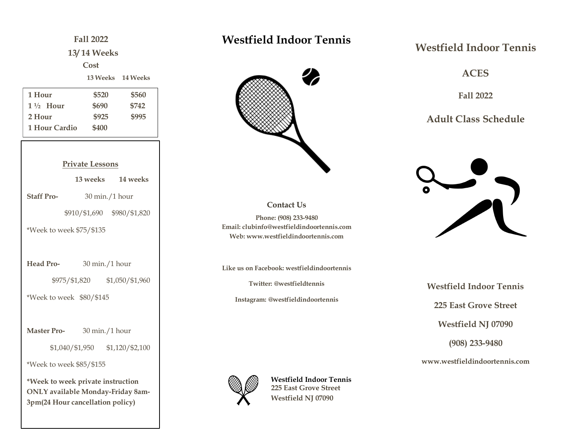# **Fall 2022 13/ 14 Weeks Cost 13 Weeks 14 Weeks Private Lessons 13 weeks 14 weeks Staff Pro-** 30 min./1 hour \$910/\$1,690 \$980/\$1,820 \*Week to week \$75/\$135 **Head Pro-** 30 min./1 hour \$975/\$1,820 \$1,050/\$1,960 \*Week to week \$80/\$145 **Master Pro-** 30 min./1 hour \$1,040/\$1,950 \$1,120/\$2,100 \*Week to week \$85/\$155 **\*Week to week private instruction ONLY available Monday-Friday 8am-1 Hour \$520 \$560 1 ½ Hour \$690 \$742 2 Hour \$925 \$995 1 Hour Cardio \$400**

**3pm(24 Hour cancellation policy)**

### **Westfield Indoor Tennis**



#### **Contact Us**

**Phone: (908) 233-9480 Email: clubinfo@westfieldindoortennis.com Web: www.westfieldindoortennis.com**

**Like us on Facebook: westfieldindoortennis**

**Twitter: @westfieldtennis**

**Instagram: @westfieldindoortennis**

**Westfield Indoor Tennis 225 East Grove Street Westfield NJ 07090**

### **Westfield Indoor Tennis**

**ACES**

**Fall 2022**

**Adult Class Schedule**



**Westfield Indoor Tennis 225 East Grove Street Westfield NJ 07090 (908) 233-9480**

**www.westfieldindoortennis.com**